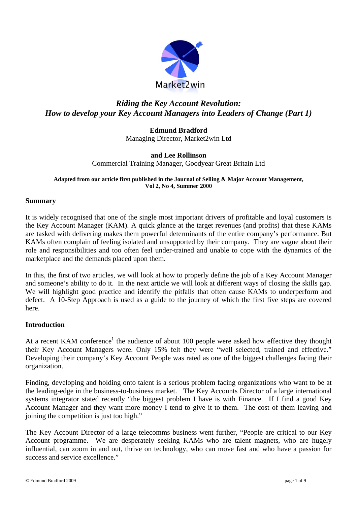

# *Riding the Key Account Revolution: How to develop your Key Account Managers into Leaders of Change (Part 1)*

**Edmund Bradford**  Managing Director, Market2win Ltd

# **and Lee Rollinson**  Commercial Training Manager, Goodyear Great Britain Ltd

#### **Adapted from our article first published in the Journal of Selling & Major Account Management, Vol 2, No 4, Summer 2000**

### **Summary**

It is widely recognised that one of the single most important drivers of profitable and loyal customers is the Key Account Manager (KAM). A quick glance at the target revenues (and profits) that these KAMs are tasked with delivering makes them powerful determinants of the entire company's performance. But KAMs often complain of feeling isolated and unsupported by their company. They are vague about their role and responsibilities and too often feel under-trained and unable to cope with the dynamics of the marketplace and the demands placed upon them.

In this, the first of two articles, we will look at how to properly define the job of a Key Account Manager and someone's ability to do it. In the next article we will look at different ways of closing the skills gap. We will highlight good practice and identify the pitfalls that often cause KAMs to underperform and defect. A 10-Step Approach is used as a guide to the journey of which the first five steps are covered here.

# **Introduction**

At a recent KAM conference<sup>1</sup> the audience of about 100 people were asked how effective they thought their Key Account Managers were. Only 15% felt they were "well selected, trained and effective." Developing their company's Key Account People was rated as one of the biggest challenges facing their organization.

Finding, developing and holding onto talent is a serious problem facing organizations who want to be at the leading-edge in the business-to-business market. The Key Accounts Director of a large international systems integrator stated recently "the biggest problem I have is with Finance. If I find a good Key Account Manager and they want more money I tend to give it to them. The cost of them leaving and joining the competition is just too high."

The Key Account Director of a large telecomms business went further, "People are critical to our Key Account programme. We are desperately seeking KAMs who are talent magnets, who are hugely influential, can zoom in and out, thrive on technology, who can move fast and who have a passion for success and service excellence."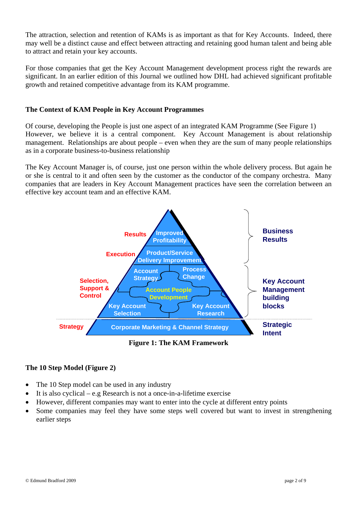The attraction, selection and retention of KAMs is as important as that for Key Accounts. Indeed, there may well be a distinct cause and effect between attracting and retaining good human talent and being able to attract and retain your key accounts.

For those companies that get the Key Account Management development process right the rewards are significant. In an earlier edition of this Journal we outlined how DHL had achieved significant profitable growth and retained competitive advantage from its KAM programme.

### **The Context of KAM People in Key Account Programmes**

Of course, developing the People is just one aspect of an integrated KAM Programme (See Figure 1) However, we believe it is a central component. Key Account Management is about relationship management. Relationships are about people – even when they are the sum of many people relationships as in a corporate business-to-business relationship

The Key Account Manager is, of course, just one person within the whole delivery process. But again he or she is central to it and often seen by the customer as the conductor of the company orchestra. Many companies that are leaders in Key Account Management practices have seen the correlation between an effective key account team and an effective KAM.



**Figure 1: The KAM Framework** 

# **The 10 Step Model (Figure 2)**

- The 10 Step model can be used in any industry
- It is also cyclical e.g Research is not a once-in-a-lifetime exercise
- However, different companies may want to enter into the cycle at different entry points
- Some companies may feel they have some steps well covered but want to invest in strengthening earlier steps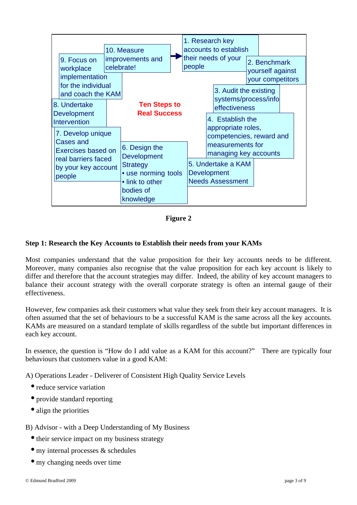

**Figure 2** 

# **Step 1: Research the Key Accounts to Establish their needs from your KAMs**

Most companies understand that the value proposition for their key accounts needs to be different. Moreover, many companies also recognise that the value proposition for each key account is likely to differ and therefore that the account strategies may differ. Indeed, the ability of key account managers to balance their account strategy with the overall corporate strategy is often an internal gauge of their effectiveness.

However, few companies ask their customers what value they seek from their key account managers. It is often assumed that the set of behaviours to be a successful KAM is the same across all the key accounts. KAMs are measured on a standard template of skills regardless of the subtle but important differences in each key account.

In essence, the question is "How do I add value as a KAM for this account?" There are typically four behaviours that customers value in a good KAM:

A) Operations Leader - Deliverer of Consistent High Quality Service Levels

- reduce service variation
- provide standard reporting
- align the priorities

### B) Advisor - with a Deep Understanding of My Business

- their service impact on my business strategy
- my internal processes & schedules
- my changing needs over time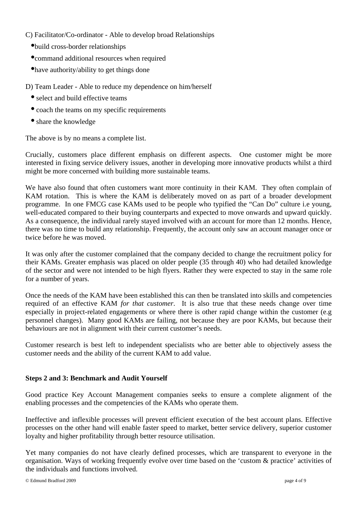C) Facilitator/Co-ordinator - Able to develop broad Relationships

- •build cross-border relationships
- •command additional resources when required
- •have authority/ability to get things done

D) Team Leader - Able to reduce my dependence on him/herself

- select and build effective teams
- coach the teams on my specific requirements
- share the knowledge

The above is by no means a complete list.

Crucially, customers place different emphasis on different aspects. One customer might be more interested in fixing service delivery issues, another in developing more innovative products whilst a third might be more concerned with building more sustainable teams.

We have also found that often customers want more continuity in their KAM. They often complain of KAM rotation. This is where the KAM is deliberately moved on as part of a broader development programme. In one FMCG case KAMs used to be people who typified the "Can Do" culture i.e young, well-educated compared to their buying counterparts and expected to move onwards and upward quickly. As a consequence, the individual rarely stayed involved with an account for more than 12 months. Hence, there was no time to build any relationship. Frequently, the account only saw an account manager once or twice before he was moved.

It was only after the customer complained that the company decided to change the recruitment policy for their KAMs. Greater emphasis was placed on older people (35 through 40) who had detailed knowledge of the sector and were not intended to be high flyers. Rather they were expected to stay in the same role for a number of years.

Once the needs of the KAM have been established this can then be translated into skills and competencies required of an effective KAM *for that customer*. It is also true that these needs change over time especially in project-related engagements or where there is other rapid change within the customer (e.g personnel changes). Many good KAMs are failing, not because they are poor KAMs, but because their behaviours are not in alignment with their current customer's needs.

Customer research is best left to independent specialists who are better able to objectively assess the customer needs and the ability of the current KAM to add value.

### **Steps 2 and 3: Benchmark and Audit Yourself**

Good practice Key Account Management companies seeks to ensure a complete alignment of the enabling processes and the competencies of the KAMs who operate them.

Ineffective and inflexible processes will prevent efficient execution of the best account plans. Effective processes on the other hand will enable faster speed to market, better service delivery, superior customer loyalty and higher profitability through better resource utilisation.

Yet many companies do not have clearly defined processes, which are transparent to everyone in the organisation. Ways of working frequently evolve over time based on the 'custom & practice' activities of the individuals and functions involved.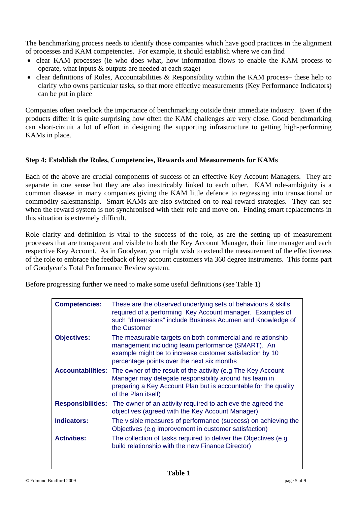The benchmarking process needs to identify those companies which have good practices in the alignment of processes and KAM competencies. For example, it should establish where we can find

- clear KAM processes (ie who does what, how information flows to enable the KAM process to operate, what inputs & outputs are needed at each stage)
- clear definitions of Roles, Accountabilities & Responsibility within the KAM process- these help to clarify who owns particular tasks, so that more effective measurements (Key Performance Indicators) can be put in place

Companies often overlook the importance of benchmarking outside their immediate industry. Even if the products differ it is quite surprising how often the KAM challenges are very close. Good benchmarking can short-circuit a lot of effort in designing the supporting infrastructure to getting high-performing KAMs in place.

# **Step 4: Establish the Roles, Competencies, Rewards and Measurements for KAMs**

Each of the above are crucial components of success of an effective Key Account Managers. They are separate in one sense but they are also inextricably linked to each other. KAM role-ambiguity is a common disease in many companies giving the KAM little defence to regressing into transactional or commodity salesmanship. Smart KAMs are also switched on to real reward strategies. They can see when the reward system is not synchronised with their role and move on. Finding smart replacements in this situation is extremely difficult.

Role clarity and definition is vital to the success of the role, as are the setting up of measurement processes that are transparent and visible to both the Key Account Manager, their line manager and each respective Key Account. As in Goodyear, you might wish to extend the measurement of the effectiveness of the role to embrace the feedback of key account customers via 360 degree instruments. This forms part of Goodyear's Total Performance Review system.

Before progressing further we need to make some useful definitions (see Table 1)

| <b>Competencies:</b>     | These are the observed underlying sets of behaviours & skills<br>required of a performing Key Account manager. Examples of<br>such "dimensions" include Business Acumen and Knowledge of<br>the Customer                                  |
|--------------------------|-------------------------------------------------------------------------------------------------------------------------------------------------------------------------------------------------------------------------------------------|
| <b>Objectives:</b>       | The measurable targets on both commercial and relationship<br>management including team performance (SMART). An<br>example might be to increase customer satisfaction by 10<br>percentage points over the next six months                 |
|                          | <b>Accountabilities:</b> The owner of the result of the activity (e.g The Key Account<br>Manager may delegate responsibility around his team in<br>preparing a Key Account Plan but is accountable for the quality<br>of the Plan itself) |
| <b>Responsibilities:</b> | The owner of an activity required to achieve the agreed the<br>objectives (agreed with the Key Account Manager)                                                                                                                           |
| <b>Indicators:</b>       | The visible measures of performance (success) on achieving the<br>Objectives (e.g improvement in customer satisfaction)                                                                                                                   |
| <b>Activities:</b>       | The collection of tasks required to deliver the Objectives (e.g.<br>build relationship with the new Finance Director)                                                                                                                     |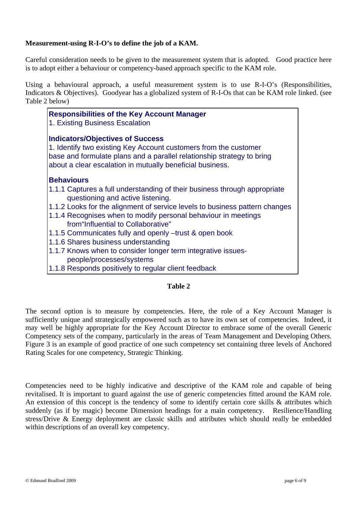### **Measurement-using R-I-O's to define the job of a KAM.**

Careful consideration needs to be given to the measurement system that is adopted. Good practice here is to adopt either a behaviour or competency-based approach specific to the KAM role.

Using a behavioural approach, a useful measurement system is to use R-I-O's (Responsibilities, Indicators & Objectives). Goodyear has a globalized system of R-I-Os that can be KAM role linked. (see Table 2 below)

| <b>Responsibilities of the Key Account Manager</b><br>1. Existing Business Escalation                                                                                                                                                              |
|----------------------------------------------------------------------------------------------------------------------------------------------------------------------------------------------------------------------------------------------------|
| <b>Indicators/Objectives of Success</b><br>1. Identify two existing Key Account customers from the customer<br>base and formulate plans and a parallel relationship strategy to bring<br>about a clear escalation in mutually beneficial business. |
| <b>Behaviours</b>                                                                                                                                                                                                                                  |
| 1.1.1 Captures a full understanding of their business through appropriate<br>questioning and active listening.                                                                                                                                     |
| 1.1.2 Looks for the alignment of service levels to business pattern changes                                                                                                                                                                        |
| 1.1.4 Recognises when to modify personal behaviour in meetings<br>from "Influential to Collaborative"                                                                                                                                              |
| 1.1.5 Communicates fully and openly -trust & open book                                                                                                                                                                                             |
| 1.1.6 Shares business understanding                                                                                                                                                                                                                |
| 1.1.7 Knows when to consider longer term integrative issues-<br>people/processes/systems                                                                                                                                                           |
| 1.1.8 Responds positively to regular client feedback                                                                                                                                                                                               |

### **Table 2**

The second option is to measure by competencies. Here, the role of a Key Account Manager is sufficiently unique and strategically empowered such as to have its own set of competencies. Indeed, it may well be highly appropriate for the Key Account Director to embrace some of the overall Generic Competency sets of the company, particularly in the areas of Team Management and Developing Others. Figure 3 is an example of good practice of one such competency set containing three levels of Anchored Rating Scales for one competency, Strategic Thinking.

Competencies need to be highly indicative and descriptive of the KAM role and capable of being revitalised. It is important to guard against the use of generic competencies fitted around the KAM role. An extension of this concept is the tendency of some to identify certain core skills & attributes which suddenly (as if by magic) become Dimension headings for a main competency. Resilience/Handling stress/Drive & Energy deployment are classic skills and attributes which should really be embedded within descriptions of an overall key competency.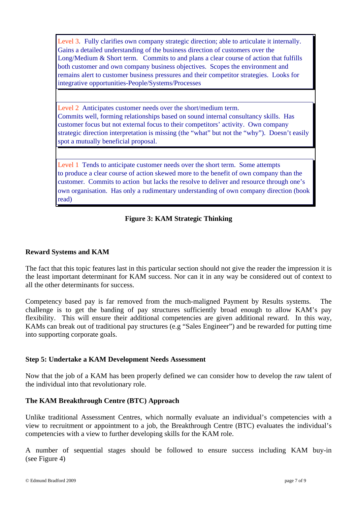Level 3. Fully clarifies own company strategic direction; able to articulate it internally. Level 3. Fully clarifies own company strategic direction; able to articulate it internally. Gains a detailed understanding of the business direction of customers over the Gains a detailed understanding of the business direction of customers over the Long/Medium & Short term. Commits to and plans a clear course of action that fulfills Long/Medium & Short term. Commits to and plans a clear course of action that fulfills both customer and own company business objectives. Scopes the environment and both customer and own company business objectives. Scopes the environment and remains alert to customer business pressures and their competitor strategies. Looks for remains alert to customer business pressures and their competitor strategies. Looks for integrative opportunities-People/Systems/Processes integrative opportunities-People/Systems/Processes

Level 2 Anticipates customer needs over the short/medium term. Level 2 Anticipates customer needs over the short/medium term. Commits well, forming relationships based on sound internal consultancy skills. Has Commits well, forming relationships based on sound internal consultancy skills. Has customer focus but not external focus to their competitors' activity. Own company customer focus but not external focus to their competitors' activity. Own company strategic direction interpretation is missing (the "what" but not the "why"). Doesn't easily strategic direction interpretation is missing (the "what" but not the "why"). Doesn't easily spot a mutually beneficial proposal. spot a mutually beneficial proposal.

Level 1 Tends to anticipate customer needs over the short term. Some attempts Level 1 Tends to anticipate customer needs over the short term. Some attempts to produce a clear course of action skewed more to the benefit of own company than the to produce a clear course of action skewed more to the benefit of own company than the customer. Commits to action but lacks the resolve to deliver and resource through one's customer. Commits to action but lacks the resolve to deliver and resource through one's own organisation. Has only a rudimentary understanding of own company direction (book read) read)

# **Figure 3: KAM Strategic Thinking**

### **Reward Systems and KAM**

The fact that this topic features last in this particular section should not give the reader the impression it is the least important determinant for KAM success. Nor can it in any way be considered out of context to all the other determinants for success.

Competency based pay is far removed from the much-maligned Payment by Results systems. The challenge is to get the banding of pay structures sufficiently broad enough to allow KAM's pay flexibility. This will ensure their additional competencies are given additional reward. In this way, KAMs can break out of traditional pay structures (e.g "Sales Engineer") and be rewarded for putting time into supporting corporate goals.

### **Step 5: Undertake a KAM Development Needs Assessment**

Now that the job of a KAM has been properly defined we can consider how to develop the raw talent of the individual into that revolutionary role.

### **The KAM Breakthrough Centre (BTC) Approach**

Unlike traditional Assessment Centres, which normally evaluate an individual's competencies with a view to recruitment or appointment to a job, the Breakthrough Centre (BTC) evaluates the individual's competencies with a view to further developing skills for the KAM role.

A number of sequential stages should be followed to ensure success including KAM buy-in (see Figure 4)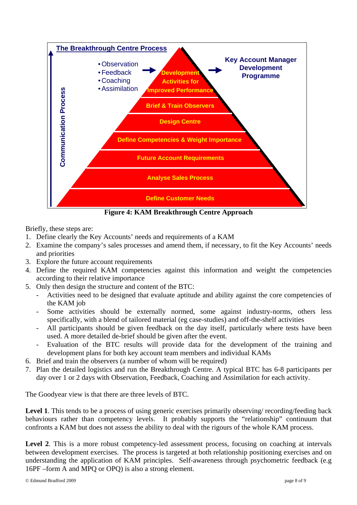

**Figure 4: KAM Breakthrough Centre Approach** 

Briefly, these steps are:

- 1. Define clearly the Key Accounts' needs and requirements of a KAM
- 2. Examine the company's sales processes and amend them, if necessary, to fit the Key Accounts' needs and priorities
- 3. Explore the future account requirements
- 4. Define the required KAM competencies against this information and weight the competencies according to their relative importance
- 5. Only then design the structure and content of the BTC:
	- Activities need to be designed that evaluate aptitude and ability against the core competencies of the KAM job
	- Some activities should be externally normed, some against industry-norms, others less specifically, with a blend of tailored material (eg case-studies) and off-the-shelf activities
	- All participants should be given feedback on the day itself, particularly where tests have been used. A more detailed de-brief should be given after the event.
	- Evaluation of the BTC results will provide data for the development of the training and development plans for both key account team members and individual KAMs
- 6. Brief and train the observers (a number of whom will be required)
- 7. Plan the detailed logistics and run the Breakthrough Centre. A typical BTC has 6-8 participants per day over 1 or 2 days with Observation, Feedback, Coaching and Assimilation for each activity.

The Goodyear view is that there are three levels of BTC.

**Level 1**. This tends to be a process of using generic exercises primarily observing/ recording/feeding back behaviours rather than competency levels. It probably supports the "relationship" continuum that confronts a KAM but does not assess the ability to deal with the rigours of the whole KAM process.

Level 2. This is a more robust competency-led assessment process, focusing on coaching at intervals between development exercises. The process is targeted at both relationship positioning exercises and on understanding the application of KAM principles. Self-awareness through psychometric feedback (e.g 16PF –form A and MPQ or OPQ) is also a strong element.